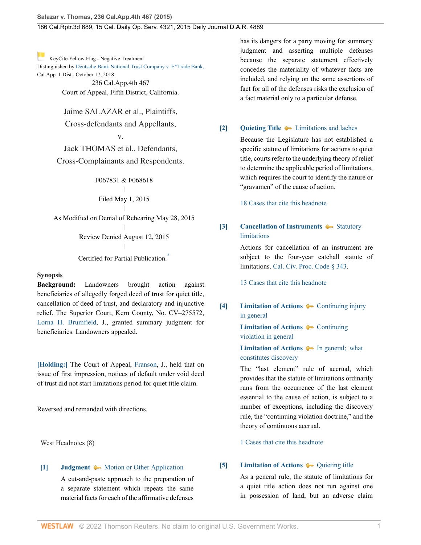[K](http://www.westlaw.com/Link/RelatedInformation/Flag?documentGuid=I0606f4f0f26711e495e6a5de55118874&transitionType=Document&originationContext=docHeaderFlag&Rank=0&rs=cblt1.0&vr=3.0&contextData=(sc.History*oc.DocLink))eyCite Yellow Flag - Negative Treatment

Distinguished by [Deutsche Bank National Trust Company v. E\\*Trade Bank,](https://www.westlaw.com/Document/I0acd31b0d27011e88f4d8d23fc0d7c2b/View/FullText.html?navigationPath=RelatedInfo%2Fv4%2Fkeycite%2Fnav%2F%3Fguid%3DI0acd31b0d27011e88f4d8d23fc0d7c2b%26ss%3D2036188995%26ds%3D2045783567%26origDocGuid%3DI0606f4f0f26711e495e6a5de55118874&listSource=RelatedInfo&list=NegativeCitingReferences&rank=0&ppcid=eeef5219e8204851bd03b7a9c1ede9ea&originationContext=docHeader&transitionType=NegativeTreatment&contextData=%28sc.History*oc.DocLink%29&VR=3.0&RS=cblt1.0 ) Cal.App. 1 Dist., October 17, 2018

236 Cal.App.4th 467 Court of Appeal, Fifth District, California.

Jaime SALAZAR et al., Plaintiffs,

# Cross-defendants and Appellants,

v.

Jack THOMAS et al., Defendants, Cross-Complainants and Respondents.

> F067831 & F068618 |

Filed May 1, 2015

 $\mathbf{I}$ | As Modified on Denial of Rehearing May 28, 2015 |

> Review Denied August 12, 2015  $\overline{1}$ |

> Certified for Partial Publication.

### **Synopsis**

**Background:** Landowners brought action against beneficiaries of allegedly forged deed of trust for quiet title, cancellation of deed of trust, and declaratory and injunctive relief. The Superior Court, Kern County, No. CV–275572, [Lorna H. Brumfield](http://www.westlaw.com/Link/Document/FullText?findType=h&pubNum=176284&cite=0501845199&originatingDoc=I0606f4f0f26711e495e6a5de55118874&refType=RQ&originationContext=document&vr=3.0&rs=cblt1.0&transitionType=DocumentItem&contextData=(sc.History*oc.DocLink)), J., granted summary judgment for beneficiaries. Landowners appealed.

**[\[Holding:\]](#page-1-0)** The Court of Appeal, [Franson,](http://www.westlaw.com/Link/Document/FullText?findType=h&pubNum=176284&cite=0113161001&originatingDoc=I0606f4f0f26711e495e6a5de55118874&refType=RQ&originationContext=document&vr=3.0&rs=cblt1.0&transitionType=DocumentItem&contextData=(sc.History*oc.DocLink)) J., held that on issue of first impression, notices of default under void deed of trust did not start limitations period for quiet title claim.

Reversed and remanded with directions.

West Headnotes (8)

### <span id="page-0-0"></span>**[\[1\]](#page-3-0) [Judgment](http://www.westlaw.com/Browse/Home/KeyNumber/228/View.html?docGuid=I0606f4f0f26711e495e6a5de55118874&originationContext=document&vr=3.0&rs=cblt1.0&transitionType=DocumentItem&contextData=(sc.History*oc.DocLink))**  $\blacklozenge$  **[Motion or Other Application](http://www.westlaw.com/Browse/Home/KeyNumber/228k182/View.html?docGuid=I0606f4f0f26711e495e6a5de55118874&originationContext=document&vr=3.0&rs=cblt1.0&transitionType=DocumentItem&contextData=(sc.History*oc.DocLink))**

A cut-and-paste approach to the preparation of a separate statement which repeats the same material facts for each of the affirmative defenses

has its dangers for a party moving for summary judgment and asserting multiple defenses because the separate statement effectively concedes the materiality of whatever facts are included, and relying on the same assertions of fact for all of the defenses risks the exclusion of a fact material only to a particular defense.

### <span id="page-0-1"></span>**[\[2\]](#page-4-0) [Quieting Title](http://www.westlaw.com/Browse/Home/KeyNumber/318/View.html?docGuid=I0606f4f0f26711e495e6a5de55118874&originationContext=document&vr=3.0&rs=cblt1.0&transitionType=DocumentItem&contextData=(sc.History*oc.DocLink))** [Limitations and laches](http://www.westlaw.com/Browse/Home/KeyNumber/318k29/View.html?docGuid=I0606f4f0f26711e495e6a5de55118874&originationContext=document&vr=3.0&rs=cblt1.0&transitionType=DocumentItem&contextData=(sc.History*oc.DocLink))

Because the Legislature has not established a specific statute of limitations for actions to quiet title, courts refer to the underlying theory of relief to determine the applicable period of limitations, which requires the court to identify the nature or "gravamen" of the cause of action.

[18 Cases that cite this headnote](http://www.westlaw.com/Link/RelatedInformation/DocHeadnoteLink?docGuid=I0606f4f0f26711e495e6a5de55118874&headnoteId=203618899500220200718140745&originationContext=document&vr=3.0&rs=cblt1.0&transitionType=CitingReferences&contextData=(sc.History*oc.DocLink))

# <span id="page-0-5"></span><span id="page-0-2"></span>**[\[3\]](#page-4-1) [Cancellation of Instruments](http://www.westlaw.com/Browse/Home/KeyNumber/69/View.html?docGuid=I0606f4f0f26711e495e6a5de55118874&originationContext=document&vr=3.0&rs=cblt1.0&transitionType=DocumentItem&contextData=(sc.History*oc.DocLink))**  $\bullet$  [Statutory](http://www.westlaw.com/Browse/Home/KeyNumber/69k34(4)/View.html?docGuid=I0606f4f0f26711e495e6a5de55118874&originationContext=document&vr=3.0&rs=cblt1.0&transitionType=DocumentItem&contextData=(sc.History*oc.DocLink)) [limitations](http://www.westlaw.com/Browse/Home/KeyNumber/69k34(4)/View.html?docGuid=I0606f4f0f26711e495e6a5de55118874&originationContext=document&vr=3.0&rs=cblt1.0&transitionType=DocumentItem&contextData=(sc.History*oc.DocLink))

Actions for cancellation of an instrument are subject to the four-year catchall statute of limitations. [Cal. Civ. Proc. Code § 343](http://www.westlaw.com/Link/Document/FullText?findType=L&pubNum=1000201&cite=CACPS343&originatingDoc=I0606f4f0f26711e495e6a5de55118874&refType=LQ&originationContext=document&vr=3.0&rs=cblt1.0&transitionType=DocumentItem&contextData=(sc.History*oc.DocLink)).

[13 Cases that cite this headnote](http://www.westlaw.com/Link/RelatedInformation/DocHeadnoteLink?docGuid=I0606f4f0f26711e495e6a5de55118874&headnoteId=203618899500320200718140745&originationContext=document&vr=3.0&rs=cblt1.0&transitionType=CitingReferences&contextData=(sc.History*oc.DocLink))

<span id="page-0-3"></span>**[\[4\]](#page-4-2) [Limitation of Actions](http://www.westlaw.com/Browse/Home/KeyNumber/241/View.html?docGuid=I0606f4f0f26711e495e6a5de55118874&originationContext=document&vr=3.0&rs=cblt1.0&transitionType=DocumentItem&contextData=(sc.History*oc.DocLink))**  $\blacklozenge$  **[Continuing injury](http://www.westlaw.com/Browse/Home/KeyNumber/241k55(6)/View.html?docGuid=I0606f4f0f26711e495e6a5de55118874&originationContext=document&vr=3.0&rs=cblt1.0&transitionType=DocumentItem&contextData=(sc.History*oc.DocLink))** [in general](http://www.westlaw.com/Browse/Home/KeyNumber/241k55(6)/View.html?docGuid=I0606f4f0f26711e495e6a5de55118874&originationContext=document&vr=3.0&rs=cblt1.0&transitionType=DocumentItem&contextData=(sc.History*oc.DocLink))

> **[Limitation of Actions](http://www.westlaw.com/Browse/Home/KeyNumber/241/View.html?docGuid=I0606f4f0f26711e495e6a5de55118874&originationContext=document&vr=3.0&rs=cblt1.0&transitionType=DocumentItem&contextData=(sc.History*oc.DocLink))**  $\leftarrow$  [Continuing](http://www.westlaw.com/Browse/Home/KeyNumber/241k58(1.5)/View.html?docGuid=I0606f4f0f26711e495e6a5de55118874&originationContext=document&vr=3.0&rs=cblt1.0&transitionType=DocumentItem&contextData=(sc.History*oc.DocLink)) [violation in general](http://www.westlaw.com/Browse/Home/KeyNumber/241k58(1.5)/View.html?docGuid=I0606f4f0f26711e495e6a5de55118874&originationContext=document&vr=3.0&rs=cblt1.0&transitionType=DocumentItem&contextData=(sc.History*oc.DocLink))

# **[Limitation of Actions](http://www.westlaw.com/Browse/Home/KeyNumber/241/View.html?docGuid=I0606f4f0f26711e495e6a5de55118874&originationContext=document&vr=3.0&rs=cblt1.0&transitionType=DocumentItem&contextData=(sc.History*oc.DocLink))**  $\bullet\bullet$  In general; what [constitutes discovery](http://www.westlaw.com/Browse/Home/KeyNumber/241k95(1)/View.html?docGuid=I0606f4f0f26711e495e6a5de55118874&originationContext=document&vr=3.0&rs=cblt1.0&transitionType=DocumentItem&contextData=(sc.History*oc.DocLink))

The "last element" rule of accrual, which provides that the statute of limitations ordinarily runs from the occurrence of the last element essential to the cause of action, is subject to a number of exceptions, including the discovery rule, the "continuing violation doctrine," and the theory of continuous accrual.

[1 Cases that cite this headnote](http://www.westlaw.com/Link/RelatedInformation/DocHeadnoteLink?docGuid=I0606f4f0f26711e495e6a5de55118874&headnoteId=203618899500420200718140745&originationContext=document&vr=3.0&rs=cblt1.0&transitionType=CitingReferences&contextData=(sc.History*oc.DocLink))

### <span id="page-0-4"></span>**[\[5\]](#page-4-3) [Limitation of Actions](http://www.westlaw.com/Browse/Home/KeyNumber/241/View.html?docGuid=I0606f4f0f26711e495e6a5de55118874&originationContext=document&vr=3.0&rs=cblt1.0&transitionType=DocumentItem&contextData=(sc.History*oc.DocLink))**  $\rightarrow$  [Quieting title](http://www.westlaw.com/Browse/Home/KeyNumber/241k60(10)/View.html?docGuid=I0606f4f0f26711e495e6a5de55118874&originationContext=document&vr=3.0&rs=cblt1.0&transitionType=DocumentItem&contextData=(sc.History*oc.DocLink))

As a general rule, the statute of limitations for a quiet title action does not run against one in possession of land, but an adverse claim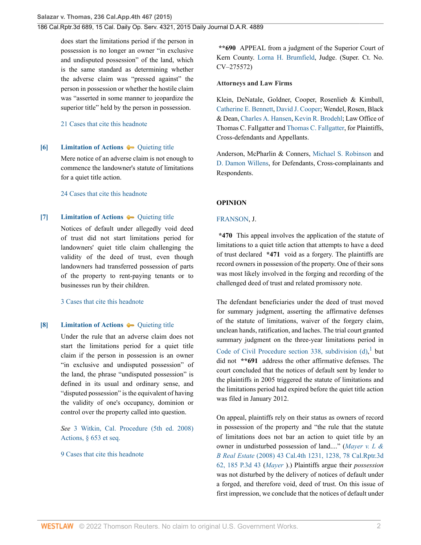does start the limitations period if the person in possession is no longer an owner "in exclusive and undisputed possession" of the land, which is the same standard as determining whether the adverse claim was "pressed against" the person in possession or whether the hostile claim was "asserted in some manner to jeopardize the superior title" held by the person in possession.

### [21 Cases that cite this headnote](http://www.westlaw.com/Link/RelatedInformation/DocHeadnoteLink?docGuid=I0606f4f0f26711e495e6a5de55118874&headnoteId=203618899500520200718140745&originationContext=document&vr=3.0&rs=cblt1.0&transitionType=CitingReferences&contextData=(sc.History*oc.DocLink))

### <span id="page-1-1"></span>**[\[6\]](#page-5-0) [Limitation of Actions](http://www.westlaw.com/Browse/Home/KeyNumber/241/View.html?docGuid=I0606f4f0f26711e495e6a5de55118874&originationContext=document&vr=3.0&rs=cblt1.0&transitionType=DocumentItem&contextData=(sc.History*oc.DocLink))**  $\bullet$  [Quieting title](http://www.westlaw.com/Browse/Home/KeyNumber/241k60(10)/View.html?docGuid=I0606f4f0f26711e495e6a5de55118874&originationContext=document&vr=3.0&rs=cblt1.0&transitionType=DocumentItem&contextData=(sc.History*oc.DocLink))

Mere notice of an adverse claim is not enough to commence the landowner's statute of limitations for a quiet title action.

[24 Cases that cite this headnote](http://www.westlaw.com/Link/RelatedInformation/DocHeadnoteLink?docGuid=I0606f4f0f26711e495e6a5de55118874&headnoteId=203618899500620200718140745&originationContext=document&vr=3.0&rs=cblt1.0&transitionType=CitingReferences&contextData=(sc.History*oc.DocLink))

### <span id="page-1-0"></span>**[\[7\]](#page-5-1) [Limitation of Actions](http://www.westlaw.com/Browse/Home/KeyNumber/241/View.html?docGuid=I0606f4f0f26711e495e6a5de55118874&originationContext=document&vr=3.0&rs=cblt1.0&transitionType=DocumentItem&contextData=(sc.History*oc.DocLink))**  $\bullet$  [Quieting title](http://www.westlaw.com/Browse/Home/KeyNumber/241k60(10)/View.html?docGuid=I0606f4f0f26711e495e6a5de55118874&originationContext=document&vr=3.0&rs=cblt1.0&transitionType=DocumentItem&contextData=(sc.History*oc.DocLink))

Notices of default under allegedly void deed of trust did not start limitations period for landowners' quiet title claim challenging the validity of the deed of trust, even though landowners had transferred possession of parts of the property to rent-paying tenants or to businesses run by their children.

[3 Cases that cite this headnote](http://www.westlaw.com/Link/RelatedInformation/DocHeadnoteLink?docGuid=I0606f4f0f26711e495e6a5de55118874&headnoteId=203618899500720200718140745&originationContext=document&vr=3.0&rs=cblt1.0&transitionType=CitingReferences&contextData=(sc.History*oc.DocLink))

### <span id="page-1-2"></span>**[\[8\]](#page-6-0) [Limitation of Actions](http://www.westlaw.com/Browse/Home/KeyNumber/241/View.html?docGuid=I0606f4f0f26711e495e6a5de55118874&originationContext=document&vr=3.0&rs=cblt1.0&transitionType=DocumentItem&contextData=(sc.History*oc.DocLink))**  $\bullet$  [Quieting title](http://www.westlaw.com/Browse/Home/KeyNumber/241k60(10)/View.html?docGuid=I0606f4f0f26711e495e6a5de55118874&originationContext=document&vr=3.0&rs=cblt1.0&transitionType=DocumentItem&contextData=(sc.History*oc.DocLink))

Under the rule that an adverse claim does not start the limitations period for a quiet title claim if the person in possession is an owner "in exclusive and undisputed possession" of the land, the phrase "undisputed possession" is defined in its usual and ordinary sense, and "disputed possession" is the equivalent of having the validity of one's occupancy, dominion or control over the property called into question.

*See* [3 Witkin, Cal. Procedure \(5th ed. 2008\)](http://www.westlaw.com/Link/Document/FullText?findType=Y&serNum=0289837361&pubNum=0155565&originatingDoc=I0606f4f0f26711e495e6a5de55118874&refType=TS&originationContext=document&vr=3.0&rs=cblt1.0&transitionType=DocumentItem&contextData=(sc.History*oc.DocLink)) [Actions, § 653 et seq.](http://www.westlaw.com/Link/Document/FullText?findType=Y&serNum=0289837361&pubNum=0155565&originatingDoc=I0606f4f0f26711e495e6a5de55118874&refType=TS&originationContext=document&vr=3.0&rs=cblt1.0&transitionType=DocumentItem&contextData=(sc.History*oc.DocLink))

### [9 Cases that cite this headnote](http://www.westlaw.com/Link/RelatedInformation/DocHeadnoteLink?docGuid=I0606f4f0f26711e495e6a5de55118874&headnoteId=203618899500820200718140745&originationContext=document&vr=3.0&rs=cblt1.0&transitionType=CitingReferences&contextData=(sc.History*oc.DocLink))

**\*\*690** APPEAL from a judgment of the Superior Court of Kern County. [Lorna H. Brumfield,](http://www.westlaw.com/Link/Document/FullText?findType=h&pubNum=176284&cite=0501845199&originatingDoc=I0606f4f0f26711e495e6a5de55118874&refType=RQ&originationContext=document&vr=3.0&rs=cblt1.0&transitionType=DocumentItem&contextData=(sc.History*oc.DocLink)) Judge. (Super. Ct. No. CV–275572)

### **Attorneys and Law Firms**

Klein, DeNatale, Goldner, Cooper, Rosenlieb & Kimball, [Catherine E. Bennett](http://www.westlaw.com/Link/Document/FullText?findType=h&pubNum=176284&cite=0245849201&originatingDoc=I0606f4f0f26711e495e6a5de55118874&refType=RQ&originationContext=document&vr=3.0&rs=cblt1.0&transitionType=DocumentItem&contextData=(sc.History*oc.DocLink)), [David J. Cooper;](http://www.westlaw.com/Link/Document/FullText?findType=h&pubNum=176284&cite=0164264801&originatingDoc=I0606f4f0f26711e495e6a5de55118874&refType=RQ&originationContext=document&vr=3.0&rs=cblt1.0&transitionType=DocumentItem&contextData=(sc.History*oc.DocLink)) Wendel, Rosen, Black & Dean, [Charles A. Hansen](http://www.westlaw.com/Link/Document/FullText?findType=h&pubNum=176284&cite=0120645901&originatingDoc=I0606f4f0f26711e495e6a5de55118874&refType=RQ&originationContext=document&vr=3.0&rs=cblt1.0&transitionType=DocumentItem&contextData=(sc.History*oc.DocLink)), [Kevin R. Brodehl](http://www.westlaw.com/Link/Document/FullText?findType=h&pubNum=176284&cite=0312955901&originatingDoc=I0606f4f0f26711e495e6a5de55118874&refType=RQ&originationContext=document&vr=3.0&rs=cblt1.0&transitionType=DocumentItem&contextData=(sc.History*oc.DocLink)); Law Office of Thomas C. Fallgatter and [Thomas C. Fallgatter,](http://www.westlaw.com/Link/Document/FullText?findType=h&pubNum=176284&cite=0289810901&originatingDoc=I0606f4f0f26711e495e6a5de55118874&refType=RQ&originationContext=document&vr=3.0&rs=cblt1.0&transitionType=DocumentItem&contextData=(sc.History*oc.DocLink)) for Plaintiffs, Cross-defendants and Appellants.

Anderson, McPharlin & Conners, [Michael S. Robinson](http://www.westlaw.com/Link/Document/FullText?findType=h&pubNum=176284&cite=0221603201&originatingDoc=I0606f4f0f26711e495e6a5de55118874&refType=RQ&originationContext=document&vr=3.0&rs=cblt1.0&transitionType=DocumentItem&contextData=(sc.History*oc.DocLink)) and [D. Damon Willens,](http://www.westlaw.com/Link/Document/FullText?findType=h&pubNum=176284&cite=0163054701&originatingDoc=I0606f4f0f26711e495e6a5de55118874&refType=RQ&originationContext=document&vr=3.0&rs=cblt1.0&transitionType=DocumentItem&contextData=(sc.History*oc.DocLink)) for Defendants, Cross-complainants and Respondents.

### **OPINION**

### [FRANSON,](http://www.westlaw.com/Link/Document/FullText?findType=h&pubNum=176284&cite=0113161001&originatingDoc=I0606f4f0f26711e495e6a5de55118874&refType=RQ&originationContext=document&vr=3.0&rs=cblt1.0&transitionType=DocumentItem&contextData=(sc.History*oc.DocLink)) J.

**\*470** This appeal involves the application of the statute of limitations to a quiet title action that attempts to have a deed of trust declared **\*471** void as a forgery. The plaintiffs are record owners in possession of the property. One of their sons was most likely involved in the forging and recording of the challenged deed of trust and related promissory note.

<span id="page-1-3"></span>The defendant beneficiaries under the deed of trust moved for summary judgment, asserting the affirmative defenses of the statute of limitations, waiver of the forgery claim, unclean hands, ratification, and laches. The trial court granted summary judgment on the three-year limitations period in Code of Civil Procedure section 338, subdivision  $(d)$ , but did not **\*\*691** address the other affirmative defenses. The court concluded that the notices of default sent by lender to the plaintiffs in 2005 triggered the statute of limitations and the limitations period had expired before the quiet title action was filed in January 2012.

On appeal, plaintiffs rely on their status as owners of record in possession of the property and "the rule that the statute of limitations does not bar an action to quiet title by an owner in undisturbed possession of land...." (*[Mayer v. L &](http://www.westlaw.com/Link/Document/FullText?findType=Y&serNum=2016314529&pubNum=0004645&originatingDoc=I0606f4f0f26711e495e6a5de55118874&refType=RP&originationContext=document&vr=3.0&rs=cblt1.0&transitionType=DocumentItem&contextData=(sc.History*oc.DocLink)) B Real Estate* [\(2008\) 43 Cal.4th 1231, 1238, 78 Cal.Rptr.3d](http://www.westlaw.com/Link/Document/FullText?findType=Y&serNum=2016314529&pubNum=0004645&originatingDoc=I0606f4f0f26711e495e6a5de55118874&refType=RP&originationContext=document&vr=3.0&rs=cblt1.0&transitionType=DocumentItem&contextData=(sc.History*oc.DocLink)) [62, 185 P.3d 43](http://www.westlaw.com/Link/Document/FullText?findType=Y&serNum=2016314529&pubNum=0004645&originatingDoc=I0606f4f0f26711e495e6a5de55118874&refType=RP&originationContext=document&vr=3.0&rs=cblt1.0&transitionType=DocumentItem&contextData=(sc.History*oc.DocLink)) (*[Mayer](http://www.westlaw.com/Link/Document/FullText?findType=Y&serNum=2016314529&pubNum=0004040&originatingDoc=I0606f4f0f26711e495e6a5de55118874&refType=RP&originationContext=document&vr=3.0&rs=cblt1.0&transitionType=DocumentItem&contextData=(sc.History*oc.DocLink))* ).) Plaintiffs argue their *possession* was not disturbed by the delivery of notices of default under a forged, and therefore void, deed of trust. On this issue of first impression, we conclude that the notices of default under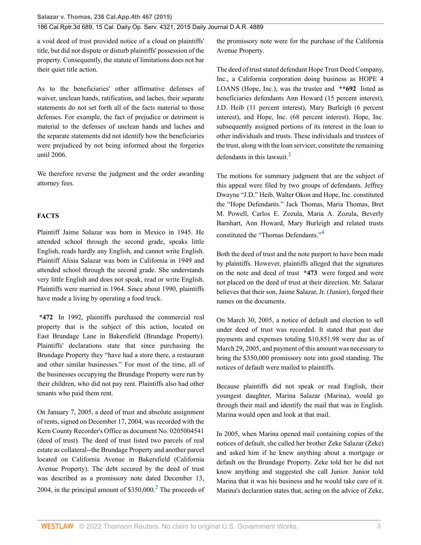a void deed of trust provided notice of a cloud on plaintiffs' title, but did not dispute or disturb plaintiffs' possession of the property. Consequently, the statute of limitations does not bar their quiet title action.

As to the beneficiaries' other affirmative defenses of waiver, unclean hands, ratification, and laches, their separate statements do not set forth all of the facts material to those defenses. For example, the fact of prejudice or detriment is material to the defenses of unclean hands and laches and the separate statements did not identify how the beneficiaries were prejudiced by not being informed about the forgeries until 2006.

We therefore reverse the judgment and the order awarding attorney fees.

# **FACTS**

Plaintiff Jaime Salazar was born in Mexico in 1945. He attended school through the second grade, speaks little English, reads hardly any English, and cannot write English. Plaintiff Alisia Salazar was born in California in 1949 and attended school through the second grade. She understands very little English and does not speak, read or write English. Plaintiffs were married in 1964. Since about 1990, plaintiffs have made a living by operating a food truck.

**\*472** In 1992, plaintiffs purchased the commercial real property that is the subject of this action, located on East Brundage Lane in Bakersfield (Brundage Property). Plaintiffs' declarations state that since purchasing the Brundage Property they "have had a store there, a restaurant and other similar businesses." For most of the time, all of the businesses occupying the Brundage Property were run by their children, who did not pay rent. Plaintiffs also had other tenants who paid them rent.

On January 7, 2005, a deed of trust and absolute assignment of rents, signed on December 17, 2004, was recorded with the Kern County Recorder's Office as document No. 0205004541 (deed of trust). The deed of trust listed two parcels of real estate as collateral--the Brundage Property and another parcel located on California Avenue in Bakersfield (California Avenue Property). The debt secured by the deed of trust was described as a promissory note dated December 13, [2](#page-7-2)004, in the principal amount of  $$350,000$ <sup>2</sup> The proceeds of

the promissory note were for the purchase of the California Avenue Property.

The deed of trust stated defendant Hope Trust Deed Company, Inc., a California corporation doing business as HOPE 4 LOANS (Hope, Inc.), was the trustee and **\*\*692** listed as beneficiaries defendants Ann Howard (15 percent interest), J.D. Heib (11 percent interest), Mary Burleigh (6 percent interest), and Hope, Inc. (68 percent interest). Hope, Inc. subsequently assigned portions of its interest in the loan to other individuals and trusts. These individuals and trustees of the trust, along with the loan servicer, constitute the remaining defendants in this lawsuit. $3$ 

<span id="page-2-1"></span>The motions for summary judgment that are the subject of this appeal were filed by two groups of defendants. Jeffrey Dwayne "J.D." Heib, Walter Okon and Hope, Inc. constituted the "Hope Defendants." Jack Thomas, Maria Thomas, Bret M. Powell, Carlos E. Zozula, Maria A. Zozula, Beverly Barnhart, Ann Howard, Mary Burleigh and related trusts constituted the "Thomas Defendants."[4](#page-7-4)

<span id="page-2-2"></span>Both the deed of trust and the note purport to have been made by plaintiffs. However, plaintiffs alleged that the signatures on the note and deed of trust **\*473** were forged and were not placed on the deed of trust at their direction. Mr. Salazar believes that their son, Jaime Salazar, Jr. (Junior), forged their names on the documents.

On March 30, 2005, a notice of default and election to sell under deed of trust was recorded. It stated that past due payments and expenses totaling \$10,851.98 were due as of March 29, 2005, and payment of this amount was necessary to bring the \$350,000 promissory note into good standing. The notices of default were mailed to plaintiffs.

Because plaintiffs did not speak or read English, their youngest daughter, Marina Salazar (Marina), would go through their mail and identify the mail that was in English. Marina would open and look at that mail.

<span id="page-2-0"></span>In 2005, when Marina opened mail containing copies of the notices of default, she called her brother Zeke Salazar (Zeke) and asked him if he knew anything about a mortgage or default on the Brundage Property. Zeke told her he did not know anything and suggested she call Junior. Junior told Marina that it was his business and he would take care of it. Marina's declaration states that, acting on the advice of Zeke,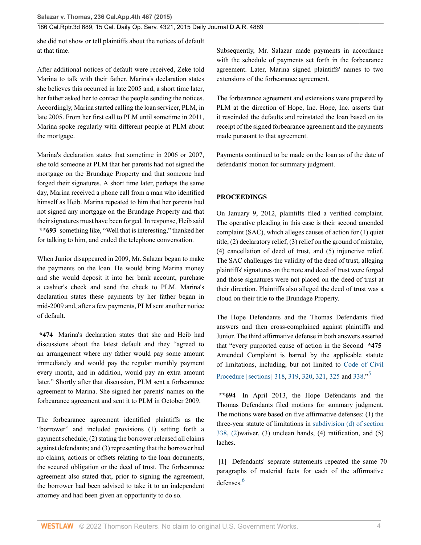she did not show or tell plaintiffs about the notices of default at that time.

After additional notices of default were received, Zeke told Marina to talk with their father. Marina's declaration states she believes this occurred in late 2005 and, a short time later, her father asked her to contact the people sending the notices. Accordingly, Marina started calling the loan servicer, PLM, in late 2005. From her first call to PLM until sometime in 2011, Marina spoke regularly with different people at PLM about the mortgage.

Marina's declaration states that sometime in 2006 or 2007, she told someone at PLM that her parents had not signed the mortgage on the Brundage Property and that someone had forged their signatures. A short time later, perhaps the same day, Marina received a phone call from a man who identified himself as Heib. Marina repeated to him that her parents had not signed any mortgage on the Brundage Property and that their signatures must have been forged. In response, Heib said **\*\*693** something like, "Well that is interesting," thanked her for talking to him, and ended the telephone conversation.

When Junior disappeared in 2009, Mr. Salazar began to make the payments on the loan. He would bring Marina money and she would deposit it into her bank account, purchase a cashier's check and send the check to PLM. Marina's declaration states these payments by her father began in mid-2009 and, after a few payments, PLM sent another notice of default.

**\*474** Marina's declaration states that she and Heib had discussions about the latest default and they "agreed to an arrangement where my father would pay some amount immediately and would pay the regular monthly payment every month, and in addition, would pay an extra amount later." Shortly after that discussion, PLM sent a forbearance agreement to Marina. She signed her parents' names on the forbearance agreement and sent it to PLM in October 2009.

The forbearance agreement identified plaintiffs as the "borrower" and included provisions (1) setting forth a payment schedule; (2) stating the borrower released all claims against defendants; and (3) representing that the borrower had no claims, actions or offsets relating to the loan documents, the secured obligation or the deed of trust. The forbearance agreement also stated that, prior to signing the agreement, the borrower had been advised to take it to an independent attorney and had been given an opportunity to do so.

Subsequently, Mr. Salazar made payments in accordance with the schedule of payments set forth in the forbearance agreement. Later, Marina signed plaintiffs' names to two extensions of the forbearance agreement.

The forbearance agreement and extensions were prepared by PLM at the direction of Hope, Inc. Hope, Inc. asserts that it rescinded the defaults and reinstated the loan based on its receipt of the signed forbearance agreement and the payments made pursuant to that agreement.

Payments continued to be made on the loan as of the date of defendants' motion for summary judgment.

# **PROCEEDINGS**

On January 9, 2012, plaintiffs filed a verified complaint. The operative pleading in this case is their second amended complaint (SAC), which alleges causes of action for (1) quiet title, (2) declaratory relief, (3) relief on the ground of mistake, (4) cancellation of deed of trust, and (5) injunctive relief. The SAC challenges the validity of the deed of trust, alleging plaintiffs' signatures on the note and deed of trust were forged and those signatures were not placed on the deed of trust at their direction. Plaintiffs also alleged the deed of trust was a cloud on their title to the Brundage Property.

The Hope Defendants and the Thomas Defendants filed answers and then cross-complained against plaintiffs and Junior. The third affirmative defense in both answers asserted that "every purported cause of action in the Second **\*475** Amended Complaint is barred by the applicable statute of limitations, including, but not limited to [Code of Civil](http://www.westlaw.com/Link/Document/FullText?findType=L&pubNum=1000201&cite=CACPS318&originatingDoc=I0606f4f0f26711e495e6a5de55118874&refType=LQ&originationContext=document&vr=3.0&rs=cblt1.0&transitionType=DocumentItem&contextData=(sc.History*oc.DocLink)) [Procedure \[sections\] 318](http://www.westlaw.com/Link/Document/FullText?findType=L&pubNum=1000201&cite=CACPS318&originatingDoc=I0606f4f0f26711e495e6a5de55118874&refType=LQ&originationContext=document&vr=3.0&rs=cblt1.0&transitionType=DocumentItem&contextData=(sc.History*oc.DocLink)), [319](http://www.westlaw.com/Link/Document/FullText?findType=L&pubNum=1000201&cite=CACPS319&originatingDoc=I0606f4f0f26711e495e6a5de55118874&refType=LQ&originationContext=document&vr=3.0&rs=cblt1.0&transitionType=DocumentItem&contextData=(sc.History*oc.DocLink)), [320](http://www.westlaw.com/Link/Document/FullText?findType=L&pubNum=1000201&cite=CACPS320&originatingDoc=I0606f4f0f26711e495e6a5de55118874&refType=LQ&originationContext=document&vr=3.0&rs=cblt1.0&transitionType=DocumentItem&contextData=(sc.History*oc.DocLink)), [321](http://www.westlaw.com/Link/Document/FullText?findType=L&pubNum=1000201&cite=CACPS321&originatingDoc=I0606f4f0f26711e495e6a5de55118874&refType=LQ&originationContext=document&vr=3.0&rs=cblt1.0&transitionType=DocumentItem&contextData=(sc.History*oc.DocLink)), [325](http://www.westlaw.com/Link/Document/FullText?findType=L&pubNum=1000201&cite=CACPS325&originatingDoc=I0606f4f0f26711e495e6a5de55118874&refType=LQ&originationContext=document&vr=3.0&rs=cblt1.0&transitionType=DocumentItem&contextData=(sc.History*oc.DocLink)) and [338.](http://www.westlaw.com/Link/Document/FullText?findType=L&pubNum=1000201&cite=CACPS338&originatingDoc=I0606f4f0f26711e495e6a5de55118874&refType=LQ&originationContext=document&vr=3.0&rs=cblt1.0&transitionType=DocumentItem&contextData=(sc.History*oc.DocLink))"[5](#page-8-0)

<span id="page-3-1"></span>**\*\*694** In April 2013, the Hope Defendants and the Thomas Defendants filed motions for summary judgment. The motions were based on five affirmative defenses: (1) the three-year statute of limitations in [subdivision \(d\) of section](http://www.westlaw.com/Link/Document/FullText?findType=L&pubNum=1000201&cite=CACPS338&originatingDoc=I0606f4f0f26711e495e6a5de55118874&refType=SP&originationContext=document&vr=3.0&rs=cblt1.0&transitionType=DocumentItem&contextData=(sc.History*oc.DocLink)#co_pp_5ba1000067d06) [338, \(2\)](http://www.westlaw.com/Link/Document/FullText?findType=L&pubNum=1000201&cite=CACPS338&originatingDoc=I0606f4f0f26711e495e6a5de55118874&refType=SP&originationContext=document&vr=3.0&rs=cblt1.0&transitionType=DocumentItem&contextData=(sc.History*oc.DocLink)#co_pp_5ba1000067d06)waiver, (3) unclean hands, (4) ratification, and (5) laches.

<span id="page-3-2"></span><span id="page-3-0"></span>**[\[1\]](#page-0-0)** Defendants' separate statements repeated the same 70 paragraphs of material facts for each of the affirmative defenses<sup>[6](#page-8-1)</sup>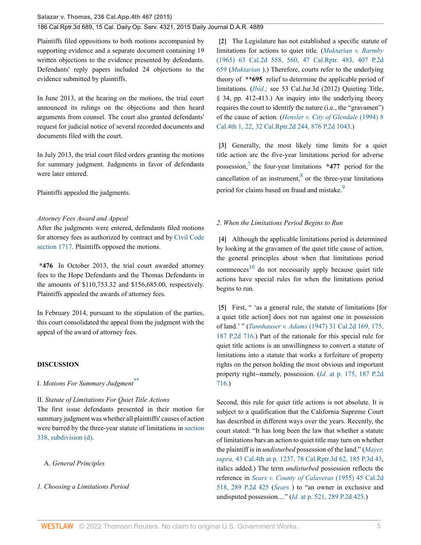Plaintiffs filed oppositions to both motions accompanied by supporting evidence and a separate document containing 19 written objections to the evidence presented by defendants. Defendants' reply papers included 24 objections to the evidence submitted by plaintiffs.

In June 2013, at the hearing on the motions, the trial court announced its rulings on the objections and then heard arguments from counsel. The court also granted defendants' request for judicial notice of several recorded documents and documents filed with the court.

In July 2013, the trial court filed orders granting the motions for summary judgment. Judgments in favor of defendants were later entered.

Plaintiffs appealed the judgments.

### *Attorney Fees Award and Appeal*

After the judgments were entered, defendants filed motions for attorney fees as authorized by contract and by [Civil Code](http://www.westlaw.com/Link/Document/FullText?findType=L&pubNum=1000200&cite=CACIS1717&originatingDoc=I0606f4f0f26711e495e6a5de55118874&refType=LQ&originationContext=document&vr=3.0&rs=cblt1.0&transitionType=DocumentItem&contextData=(sc.History*oc.DocLink)) [section 1717.](http://www.westlaw.com/Link/Document/FullText?findType=L&pubNum=1000200&cite=CACIS1717&originatingDoc=I0606f4f0f26711e495e6a5de55118874&refType=LQ&originationContext=document&vr=3.0&rs=cblt1.0&transitionType=DocumentItem&contextData=(sc.History*oc.DocLink)) Plaintiffs opposed the motions.

**\*476** In October 2013, the trial court awarded attorney fees to the Hope Defendants and the Thomas Defendants in the amounts of \$110,753.32 and \$156,685.00, respectively. Plaintiffs appealed the awards of attorney fees.

In February 2014, pursuant to the stipulation of the parties, this court consolidated the appeal from the judgment with the appeal of the award of attorney fees.

#### **DISCUSSION**

I. *Motions For Summary Judgment*[\\*\\*](#page-8-2)

II. *Statute of Limitations For Quiet Title Actions*

The first issue defendants presented in their motion for summary judgment was whether all plaintiffs' causes of action were barred by the three-year statute of limitations in [section](http://www.westlaw.com/Link/Document/FullText?findType=L&pubNum=1000201&cite=CACPS338&originatingDoc=I0606f4f0f26711e495e6a5de55118874&refType=SP&originationContext=document&vr=3.0&rs=cblt1.0&transitionType=DocumentItem&contextData=(sc.History*oc.DocLink)#co_pp_5ba1000067d06) [338, subdivision \(d\)](http://www.westlaw.com/Link/Document/FullText?findType=L&pubNum=1000201&cite=CACPS338&originatingDoc=I0606f4f0f26711e495e6a5de55118874&refType=SP&originationContext=document&vr=3.0&rs=cblt1.0&transitionType=DocumentItem&contextData=(sc.History*oc.DocLink)#co_pp_5ba1000067d06).

A. *General Principles*

*1. Choosing a Limitations Period*

<span id="page-4-0"></span>**[\[2\]](#page-0-1)** The Legislature has not established a specific statute of limitations for actions to quiet title. (*[Muktarian v. Barmby](http://www.westlaw.com/Link/Document/FullText?findType=Y&serNum=1965109530&pubNum=0000661&originatingDoc=I0606f4f0f26711e495e6a5de55118874&refType=RP&originationContext=document&vr=3.0&rs=cblt1.0&transitionType=DocumentItem&contextData=(sc.History*oc.DocLink))* [\(1965\) 63 Cal.2d 558, 560, 47 Cal.Rptr. 483, 407 P.2d](http://www.westlaw.com/Link/Document/FullText?findType=Y&serNum=1965109530&pubNum=0000661&originatingDoc=I0606f4f0f26711e495e6a5de55118874&refType=RP&originationContext=document&vr=3.0&rs=cblt1.0&transitionType=DocumentItem&contextData=(sc.History*oc.DocLink)) [659](http://www.westlaw.com/Link/Document/FullText?findType=Y&serNum=1965109530&pubNum=0000661&originatingDoc=I0606f4f0f26711e495e6a5de55118874&refType=RP&originationContext=document&vr=3.0&rs=cblt1.0&transitionType=DocumentItem&contextData=(sc.History*oc.DocLink)) (*[Muktarian](http://www.westlaw.com/Link/Document/FullText?findType=Y&serNum=1965109530&pubNum=0000231&originatingDoc=I0606f4f0f26711e495e6a5de55118874&refType=RP&originationContext=document&vr=3.0&rs=cblt1.0&transitionType=DocumentItem&contextData=(sc.History*oc.DocLink))* ).) Therefore, courts refer to the underlying theory of **\*\*695** relief to determine the applicable period of limitations. (*[Ibid.;](http://www.westlaw.com/Link/Document/FullText?findType=Y&serNum=1965109530&pubNum=0000231&originatingDoc=I0606f4f0f26711e495e6a5de55118874&refType=RP&originationContext=document&vr=3.0&rs=cblt1.0&transitionType=DocumentItem&contextData=(sc.History*oc.DocLink))* see 53 Cal.Jur.3d (2012) Quieting Title, § 34, pp. 412-413.) An inquiry into the underlying theory requires the court to identify the nature (i.e., the "gravamen") of the cause of action. (*[Hensler v. City of Glendale](http://www.westlaw.com/Link/Document/FullText?findType=Y&serNum=1994157329&pubNum=0000661&originatingDoc=I0606f4f0f26711e495e6a5de55118874&refType=RP&originationContext=document&vr=3.0&rs=cblt1.0&transitionType=DocumentItem&contextData=(sc.History*oc.DocLink))* (1994) 8 [Cal.4th 1, 22, 32 Cal.Rptr.2d 244, 876 P.2d 1043.](http://www.westlaw.com/Link/Document/FullText?findType=Y&serNum=1994157329&pubNum=0000661&originatingDoc=I0606f4f0f26711e495e6a5de55118874&refType=RP&originationContext=document&vr=3.0&rs=cblt1.0&transitionType=DocumentItem&contextData=(sc.History*oc.DocLink)))

<span id="page-4-6"></span><span id="page-4-5"></span><span id="page-4-1"></span>**[\[3\]](#page-0-2)** Generally, the most likely time limits for a quiet title action are the five-year limitations period for adverse possession,[7](#page-8-3) the four-year limitations **\*477** period for the cancellation of an instrument, $8$  or the three-year limitations period for claims based on fraud and mistake.<sup>[9](#page-8-5)</sup>

### <span id="page-4-7"></span>*2. When the Limitations Period Begins to Run*

<span id="page-4-8"></span><span id="page-4-2"></span>**[\[4\]](#page-0-3)** Although the applicable limitations period is determined by looking at the gravamen of the quiet title cause of action, the general principles about when that limitations period commences<sup>[10](#page-8-6)</sup> do not necessarily apply because quiet title actions have special rules for when the limitations period begins to run.

<span id="page-4-3"></span>**[\[5\]](#page-0-4)** First, " 'as a general rule, the statute of limitations [for a quiet title action] does not run against one in possession of land.' " (*Tannhauser v. Adams* [\(1947\) 31 Cal.2d 169, 175,](http://www.westlaw.com/Link/Document/FullText?findType=Y&serNum=1948114101&pubNum=0000661&originatingDoc=I0606f4f0f26711e495e6a5de55118874&refType=RP&originationContext=document&vr=3.0&rs=cblt1.0&transitionType=DocumentItem&contextData=(sc.History*oc.DocLink)) [187 P.2d 716.](http://www.westlaw.com/Link/Document/FullText?findType=Y&serNum=1948114101&pubNum=0000661&originatingDoc=I0606f4f0f26711e495e6a5de55118874&refType=RP&originationContext=document&vr=3.0&rs=cblt1.0&transitionType=DocumentItem&contextData=(sc.History*oc.DocLink))) Part of the rationale for this special rule for quiet title actions is an unwillingness to convert a statute of limitations into a statute that works a forfeiture of property rights on the person holding the most obvious and important property right--namely, possession. (*Id.* [at p. 175, 187 P.2d](http://www.westlaw.com/Link/Document/FullText?findType=Y&serNum=1948114101&pubNum=0000661&originatingDoc=I0606f4f0f26711e495e6a5de55118874&refType=RP&originationContext=document&vr=3.0&rs=cblt1.0&transitionType=DocumentItem&contextData=(sc.History*oc.DocLink)) [716](http://www.westlaw.com/Link/Document/FullText?findType=Y&serNum=1948114101&pubNum=0000661&originatingDoc=I0606f4f0f26711e495e6a5de55118874&refType=RP&originationContext=document&vr=3.0&rs=cblt1.0&transitionType=DocumentItem&contextData=(sc.History*oc.DocLink)).)

<span id="page-4-4"></span>Second, this rule for quiet title actions is not absolute. It is subject to a qualification that the California Supreme Court has described in different ways over the years. Recently, the court stated: "It has long been the law that whether a statute of limitations bars an action to quiet title may turn on whether the plaintiff is in *undisturbed* possession of the land." (*[Mayer,](http://www.westlaw.com/Link/Document/FullText?findType=Y&serNum=2016314529&pubNum=0004645&originatingDoc=I0606f4f0f26711e495e6a5de55118874&refType=RP&originationContext=document&vr=3.0&rs=cblt1.0&transitionType=DocumentItem&contextData=(sc.History*oc.DocLink)) supra,* [43 Cal.4th at p. 1237, 78 Cal.Rptr.3d 62, 185 P.3d 43,](http://www.westlaw.com/Link/Document/FullText?findType=Y&serNum=2016314529&pubNum=0004645&originatingDoc=I0606f4f0f26711e495e6a5de55118874&refType=RP&originationContext=document&vr=3.0&rs=cblt1.0&transitionType=DocumentItem&contextData=(sc.History*oc.DocLink)) italics added.) The term *undisturbed* possession reflects the reference in *[Sears v. County of Calaveras](http://www.westlaw.com/Link/Document/FullText?findType=Y&serNum=1955113768&pubNum=0000661&originatingDoc=I0606f4f0f26711e495e6a5de55118874&refType=RP&originationContext=document&vr=3.0&rs=cblt1.0&transitionType=DocumentItem&contextData=(sc.History*oc.DocLink))* (1955) 45 Cal.2d [518, 289 P.2d 425](http://www.westlaw.com/Link/Document/FullText?findType=Y&serNum=1955113768&pubNum=0000661&originatingDoc=I0606f4f0f26711e495e6a5de55118874&refType=RP&originationContext=document&vr=3.0&rs=cblt1.0&transitionType=DocumentItem&contextData=(sc.History*oc.DocLink)) (*[Sears](http://www.westlaw.com/Link/Document/FullText?findType=Y&serNum=1955113768&pubNum=0000231&originatingDoc=I0606f4f0f26711e495e6a5de55118874&refType=RP&originationContext=document&vr=3.0&rs=cblt1.0&transitionType=DocumentItem&contextData=(sc.History*oc.DocLink))* ) to "an owner in exclusive and undisputed possession...." (*Id.* [at p. 521, 289 P.2d 425](http://www.westlaw.com/Link/Document/FullText?findType=Y&serNum=1955113768&pubNum=0000661&originatingDoc=I0606f4f0f26711e495e6a5de55118874&refType=RP&originationContext=document&vr=3.0&rs=cblt1.0&transitionType=DocumentItem&contextData=(sc.History*oc.DocLink)).)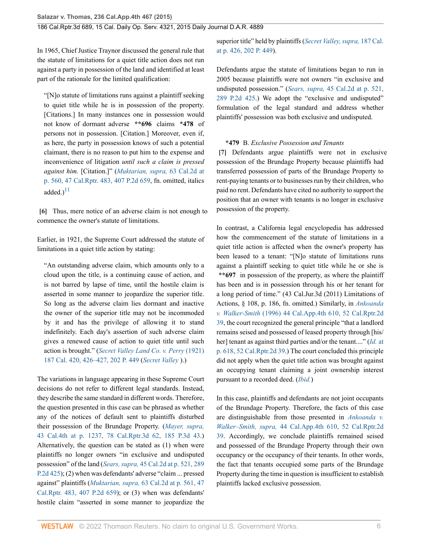In 1965, Chief Justice Traynor discussed the general rule that the statute of limitations for a quiet title action does not run against a party in possession of the land and identified at least part of the rationale for the limited qualification:

"[N]o statute of limitations runs against a plaintiff seeking to quiet title while he is in possession of the property. [Citations.] In many instances one in possession would not know of dormant adverse **\*\*696** claims **\*478** of persons not in possession. [Citation.] Moreover, even if, as here, the party in possession knows of such a potential claimant, there is no reason to put him to the expense and inconvenience of litigation *until such a claim is pressed against him.* [Citation.]" (*[Muktarian, supra,](http://www.westlaw.com/Link/Document/FullText?findType=Y&serNum=1965109530&pubNum=0000661&originatingDoc=I0606f4f0f26711e495e6a5de55118874&refType=RP&originationContext=document&vr=3.0&rs=cblt1.0&transitionType=DocumentItem&contextData=(sc.History*oc.DocLink))* 63 Cal.2d at [p. 560, 47 Cal.Rptr. 483, 407 P.2d 659,](http://www.westlaw.com/Link/Document/FullText?findType=Y&serNum=1965109530&pubNum=0000661&originatingDoc=I0606f4f0f26711e495e6a5de55118874&refType=RP&originationContext=document&vr=3.0&rs=cblt1.0&transitionType=DocumentItem&contextData=(sc.History*oc.DocLink)) fn. omitted, italics added. $)^{11}$  $)^{11}$  $)^{11}$ 

<span id="page-5-2"></span><span id="page-5-0"></span>**[\[6\]](#page-1-1)** Thus, mere notice of an adverse claim is not enough to commence the owner's statute of limitations.

Earlier, in 1921, the Supreme Court addressed the statute of limitations in a quiet title action by stating:

"An outstanding adverse claim, which amounts only to a cloud upon the title, is a continuing cause of action, and is not barred by lapse of time, until the hostile claim is asserted in some manner to jeopardize the superior title. So long as the adverse claim lies dormant and inactive the owner of the superior title may not be incommoded by it and has the privilege of allowing it to stand indefinitely. Each day's assertion of such adverse claim gives a renewed cause of action to quiet title until such action is brought." (*[Secret Valley Land Co. v. Perry](http://www.westlaw.com/Link/Document/FullText?findType=Y&serNum=1922116103&pubNum=0000660&originatingDoc=I0606f4f0f26711e495e6a5de55118874&refType=RP&originationContext=document&vr=3.0&rs=cblt1.0&transitionType=DocumentItem&contextData=(sc.History*oc.DocLink))* (1921) [187 Cal. 420, 426–427, 202 P. 449](http://www.westlaw.com/Link/Document/FullText?findType=Y&serNum=1922116103&pubNum=0000660&originatingDoc=I0606f4f0f26711e495e6a5de55118874&refType=RP&originationContext=document&vr=3.0&rs=cblt1.0&transitionType=DocumentItem&contextData=(sc.History*oc.DocLink)) (*[Secret Valley](http://www.westlaw.com/Link/Document/FullText?findType=Y&serNum=1922116103&pubNum=0000220&originatingDoc=I0606f4f0f26711e495e6a5de55118874&refType=RP&originationContext=document&vr=3.0&rs=cblt1.0&transitionType=DocumentItem&contextData=(sc.History*oc.DocLink))* ).)

The variations in language appearing in these Supreme Court decisions do not refer to different legal standards. Instead, they describe the same standard in different words. Therefore, the question presented in this case can be phrased as whether any of the notices of default sent to plaintiffs disturbed their possession of the Brundage Property. (*[Mayer, supra,](http://www.westlaw.com/Link/Document/FullText?findType=Y&serNum=2016314529&pubNum=0004645&originatingDoc=I0606f4f0f26711e495e6a5de55118874&refType=RP&originationContext=document&vr=3.0&rs=cblt1.0&transitionType=DocumentItem&contextData=(sc.History*oc.DocLink))* [43 Cal.4th at p. 1237, 78 Cal.Rptr.3d 62, 185 P.3d 43](http://www.westlaw.com/Link/Document/FullText?findType=Y&serNum=2016314529&pubNum=0004645&originatingDoc=I0606f4f0f26711e495e6a5de55118874&refType=RP&originationContext=document&vr=3.0&rs=cblt1.0&transitionType=DocumentItem&contextData=(sc.History*oc.DocLink)).) Alternatively, the question can be stated as (1) when were plaintiffs no longer owners "in exclusive and undisputed possession" of the land (*Sears, supra,* [45 Cal.2d at p. 521, 289](http://www.westlaw.com/Link/Document/FullText?findType=Y&serNum=1955113768&pubNum=0000661&originatingDoc=I0606f4f0f26711e495e6a5de55118874&refType=RP&originationContext=document&vr=3.0&rs=cblt1.0&transitionType=DocumentItem&contextData=(sc.History*oc.DocLink)) [P.2d 425\)](http://www.westlaw.com/Link/Document/FullText?findType=Y&serNum=1955113768&pubNum=0000661&originatingDoc=I0606f4f0f26711e495e6a5de55118874&refType=RP&originationContext=document&vr=3.0&rs=cblt1.0&transitionType=DocumentItem&contextData=(sc.History*oc.DocLink)); (2) when was defendants' adverse "claim ... pressed against" plaintiffs (*Muktarian, supra,* [63 Cal.2d at p. 561, 47](http://www.westlaw.com/Link/Document/FullText?findType=Y&serNum=1965109530&pubNum=0000661&originatingDoc=I0606f4f0f26711e495e6a5de55118874&refType=RP&originationContext=document&vr=3.0&rs=cblt1.0&transitionType=DocumentItem&contextData=(sc.History*oc.DocLink)) [Cal.Rptr. 483, 407 P.2d 659\)](http://www.westlaw.com/Link/Document/FullText?findType=Y&serNum=1965109530&pubNum=0000661&originatingDoc=I0606f4f0f26711e495e6a5de55118874&refType=RP&originationContext=document&vr=3.0&rs=cblt1.0&transitionType=DocumentItem&contextData=(sc.History*oc.DocLink)); or (3) when was defendants' hostile claim "asserted in some manner to jeopardize the superior title" held by plaintiffs (*[Secret Valley, supra,](http://www.westlaw.com/Link/Document/FullText?findType=Y&serNum=1922116103&pubNum=0000660&originatingDoc=I0606f4f0f26711e495e6a5de55118874&refType=RP&originationContext=document&vr=3.0&rs=cblt1.0&transitionType=DocumentItem&contextData=(sc.History*oc.DocLink))* 187 Cal. [at p. 426, 202 P. 449\)](http://www.westlaw.com/Link/Document/FullText?findType=Y&serNum=1922116103&pubNum=0000660&originatingDoc=I0606f4f0f26711e495e6a5de55118874&refType=RP&originationContext=document&vr=3.0&rs=cblt1.0&transitionType=DocumentItem&contextData=(sc.History*oc.DocLink)).

Defendants argue the statute of limitations began to run in 2005 because plaintiffs were not owners "in exclusive and undisputed possession." (*Sears, supra,* [45 Cal.2d at p. 521,](http://www.westlaw.com/Link/Document/FullText?findType=Y&serNum=1955113768&pubNum=0000661&originatingDoc=I0606f4f0f26711e495e6a5de55118874&refType=RP&originationContext=document&vr=3.0&rs=cblt1.0&transitionType=DocumentItem&contextData=(sc.History*oc.DocLink)) [289 P.2d 425](http://www.westlaw.com/Link/Document/FullText?findType=Y&serNum=1955113768&pubNum=0000661&originatingDoc=I0606f4f0f26711e495e6a5de55118874&refType=RP&originationContext=document&vr=3.0&rs=cblt1.0&transitionType=DocumentItem&contextData=(sc.History*oc.DocLink)).) We adopt the "exclusive and undisputed" formulation of the legal standard and address whether plaintiffs' possession was both exclusive and undisputed.

### <span id="page-5-1"></span>**\*479** B. *Exclusive Possession and Tenants*

**[\[7\]](#page-1-0)** Defendants argue plaintiffs were not in exclusive possession of the Brundage Property because plaintiffs had transferred possession of parts of the Brundage Property to rent-paying tenants or to businesses run by their children, who paid no rent. Defendants have cited no authority to support the position that an owner with tenants is no longer in exclusive possession of the property.

In contrast, a California legal encyclopedia has addressed how the commencement of the statute of limitations in a quiet title action is affected when the owner's property has been leased to a tenant: "[N]o statute of limitations runs against a plaintiff seeking to quiet title while he or she is **\*\*697** in possession of the property, as where the plaintiff has been and is in possession through his or her tenant for a long period of time." (43 Cal.Jur.3d (2011) Limitations of Actions, § 108, p. 186, fn. omitted.) Similarly, in *[Ankoanda](http://www.westlaw.com/Link/Document/FullText?findType=Y&serNum=1996093485&pubNum=0003484&originatingDoc=I0606f4f0f26711e495e6a5de55118874&refType=RP&originationContext=document&vr=3.0&rs=cblt1.0&transitionType=DocumentItem&contextData=(sc.History*oc.DocLink)) v. Walker-Smith* [\(1996\) 44 Cal.App.4th 610, 52 Cal.Rptr.2d](http://www.westlaw.com/Link/Document/FullText?findType=Y&serNum=1996093485&pubNum=0003484&originatingDoc=I0606f4f0f26711e495e6a5de55118874&refType=RP&originationContext=document&vr=3.0&rs=cblt1.0&transitionType=DocumentItem&contextData=(sc.History*oc.DocLink)) [39](http://www.westlaw.com/Link/Document/FullText?findType=Y&serNum=1996093485&pubNum=0003484&originatingDoc=I0606f4f0f26711e495e6a5de55118874&refType=RP&originationContext=document&vr=3.0&rs=cblt1.0&transitionType=DocumentItem&contextData=(sc.History*oc.DocLink)), the court recognized the general principle "that a landlord remains seised and possessed of leased property through [his/ her] tenant as against third parties and/or the tenant...." (*[Id.](http://www.westlaw.com/Link/Document/FullText?findType=Y&serNum=1996093485&pubNum=0003484&originatingDoc=I0606f4f0f26711e495e6a5de55118874&refType=RP&originationContext=document&vr=3.0&rs=cblt1.0&transitionType=DocumentItem&contextData=(sc.History*oc.DocLink))* at [p. 618, 52 Cal.Rptr.2d 39.](http://www.westlaw.com/Link/Document/FullText?findType=Y&serNum=1996093485&pubNum=0003484&originatingDoc=I0606f4f0f26711e495e6a5de55118874&refType=RP&originationContext=document&vr=3.0&rs=cblt1.0&transitionType=DocumentItem&contextData=(sc.History*oc.DocLink))) The court concluded this principle did not apply when the quiet title action was brought against an occupying tenant claiming a joint ownership interest pursuant to a recorded deed. (*[Ibid.](http://www.westlaw.com/Link/Document/FullText?findType=Y&serNum=1996093485&pubNum=0004041&originatingDoc=I0606f4f0f26711e495e6a5de55118874&refType=RP&originationContext=document&vr=3.0&rs=cblt1.0&transitionType=DocumentItem&contextData=(sc.History*oc.DocLink))*)

In this case, plaintiffs and defendants are not joint occupants of the Brundage Property. Therefore, the facts of this case are distinguishable from those presented in *[Ankoanda v.](http://www.westlaw.com/Link/Document/FullText?findType=Y&serNum=1996093485&pubNum=0003484&originatingDoc=I0606f4f0f26711e495e6a5de55118874&refType=RP&originationContext=document&vr=3.0&rs=cblt1.0&transitionType=DocumentItem&contextData=(sc.History*oc.DocLink)) Walker–Smith, supra,* [44 Cal.App.4th 610, 52 Cal.Rptr.2d](http://www.westlaw.com/Link/Document/FullText?findType=Y&serNum=1996093485&pubNum=0003484&originatingDoc=I0606f4f0f26711e495e6a5de55118874&refType=RP&originationContext=document&vr=3.0&rs=cblt1.0&transitionType=DocumentItem&contextData=(sc.History*oc.DocLink)) [39](http://www.westlaw.com/Link/Document/FullText?findType=Y&serNum=1996093485&pubNum=0003484&originatingDoc=I0606f4f0f26711e495e6a5de55118874&refType=RP&originationContext=document&vr=3.0&rs=cblt1.0&transitionType=DocumentItem&contextData=(sc.History*oc.DocLink)). Accordingly, we conclude plaintiffs remained seised and possessed of the Brundage Property through their own occupancy or the occupancy of their tenants. In other words, the fact that tenants occupied some parts of the Brundage Property during the time in question is insufficient to establish plaintiffs lacked exclusive possession.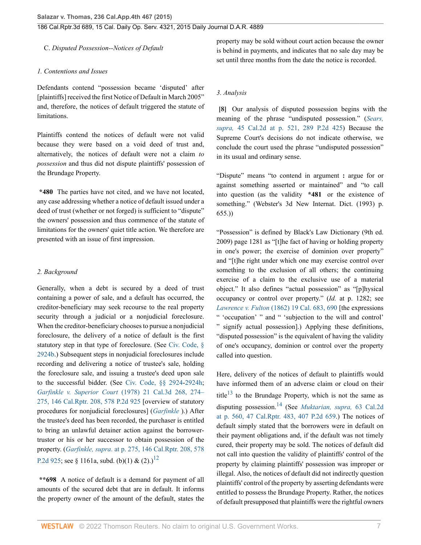C. *Disputed Possession--Notices of Default*

### *1. Contentions and Issues*

Defendants contend "possession became 'disputed' after [plaintiffs] received the first Notice of Default in March 2005" and, therefore, the notices of default triggered the statute of limitations.

Plaintiffs contend the notices of default were not valid because they were based on a void deed of trust and, alternatively, the notices of default were not a claim *to possession* and thus did not dispute plaintiffs' possession of the Brundage Property.

**\*480** The parties have not cited, and we have not located, any case addressing whether a notice of default issued under a deed of trust (whether or not forged) is sufficient to "dispute" the owners' possession and thus commence of the statute of limitations for the owners' quiet title action. We therefore are presented with an issue of first impression.

### *2. Background*

Generally, when a debt is secured by a deed of trust containing a power of sale, and a default has occurred, the creditor-beneficiary may seek recourse to the real property security through a judicial or a nonjudicial foreclosure. When the creditor-beneficiary chooses to pursue a nonjudicial foreclosure, the delivery of a notice of default is the first statutory step in that type of foreclosure. (See [Civ. Code, §](http://www.westlaw.com/Link/Document/FullText?findType=L&pubNum=1000200&cite=CACIS2924B&originatingDoc=I0606f4f0f26711e495e6a5de55118874&refType=LQ&originationContext=document&vr=3.0&rs=cblt1.0&transitionType=DocumentItem&contextData=(sc.History*oc.DocLink)) [2924b](http://www.westlaw.com/Link/Document/FullText?findType=L&pubNum=1000200&cite=CACIS2924B&originatingDoc=I0606f4f0f26711e495e6a5de55118874&refType=LQ&originationContext=document&vr=3.0&rs=cblt1.0&transitionType=DocumentItem&contextData=(sc.History*oc.DocLink)).) Subsequent steps in nonjudicial foreclosures include recording and delivering a notice of trustee's sale, holding the foreclosure sale, and issuing a trustee's deed upon sale to the successful bidder. (See [Civ. Code, §§ 2924](http://www.westlaw.com/Link/Document/FullText?findType=L&pubNum=1000200&cite=CACIS2924&originatingDoc=I0606f4f0f26711e495e6a5de55118874&refType=LQ&originationContext=document&vr=3.0&rs=cblt1.0&transitionType=DocumentItem&contextData=(sc.History*oc.DocLink))[-2924h](http://www.westlaw.com/Link/Document/FullText?findType=L&pubNum=1000200&cite=CACIS2924H&originatingDoc=I0606f4f0f26711e495e6a5de55118874&refType=LQ&originationContext=document&vr=3.0&rs=cblt1.0&transitionType=DocumentItem&contextData=(sc.History*oc.DocLink)); *Garfinkle v. Superior Court* [\(1978\) 21 Cal.3d 268, 274–](http://www.westlaw.com/Link/Document/FullText?findType=Y&serNum=1978109528&pubNum=0000661&originatingDoc=I0606f4f0f26711e495e6a5de55118874&refType=RP&originationContext=document&vr=3.0&rs=cblt1.0&transitionType=DocumentItem&contextData=(sc.History*oc.DocLink)) [275, 146 Cal.Rptr. 208, 578 P.2d 925](http://www.westlaw.com/Link/Document/FullText?findType=Y&serNum=1978109528&pubNum=0000661&originatingDoc=I0606f4f0f26711e495e6a5de55118874&refType=RP&originationContext=document&vr=3.0&rs=cblt1.0&transitionType=DocumentItem&contextData=(sc.History*oc.DocLink)) [overview of statutory procedures for nonjudicial foreclosures] (*[Garfinkle](http://www.westlaw.com/Link/Document/FullText?findType=Y&serNum=1978109528&pubNum=0000233&originatingDoc=I0606f4f0f26711e495e6a5de55118874&refType=RP&originationContext=document&vr=3.0&rs=cblt1.0&transitionType=DocumentItem&contextData=(sc.History*oc.DocLink))* ).) After the trustee's deed has been recorded, the purchaser is entitled to bring an unlawful detainer action against the borrowertrustor or his or her successor to obtain possession of the property. (*Garfinkle, supra*[. at p. 275, 146 Cal.Rptr. 208, 578](http://www.westlaw.com/Link/Document/FullText?findType=Y&serNum=1978109528&pubNum=0000661&originatingDoc=I0606f4f0f26711e495e6a5de55118874&refType=RP&originationContext=document&vr=3.0&rs=cblt1.0&transitionType=DocumentItem&contextData=(sc.History*oc.DocLink)) [P.2d 925](http://www.westlaw.com/Link/Document/FullText?findType=Y&serNum=1978109528&pubNum=0000661&originatingDoc=I0606f4f0f26711e495e6a5de55118874&refType=RP&originationContext=document&vr=3.0&rs=cblt1.0&transitionType=DocumentItem&contextData=(sc.History*oc.DocLink)); see § 1161a, subd. (b)(1) & (2).)<sup>[12](#page-8-8)</sup>

**\*\*698** A notice of default is a demand for payment of all amounts of the secured debt that are in default. It informs the property owner of the amount of the default, states the property may be sold without court action because the owner is behind in payments, and indicates that no sale day may be set until three months from the date the notice is recorded.

### *3. Analysis*

<span id="page-6-0"></span>**[\[8\]](#page-1-2)** Our analysis of disputed possession begins with the meaning of the phrase "undisputed possession." (*[Sears,](http://www.westlaw.com/Link/Document/FullText?findType=Y&serNum=1955113768&pubNum=0000661&originatingDoc=I0606f4f0f26711e495e6a5de55118874&refType=RP&originationContext=document&vr=3.0&rs=cblt1.0&transitionType=DocumentItem&contextData=(sc.History*oc.DocLink)) supra,* [45 Cal.2d at p. 521, 289 P.2d 425\)](http://www.westlaw.com/Link/Document/FullText?findType=Y&serNum=1955113768&pubNum=0000661&originatingDoc=I0606f4f0f26711e495e6a5de55118874&refType=RP&originationContext=document&vr=3.0&rs=cblt1.0&transitionType=DocumentItem&contextData=(sc.History*oc.DocLink)) Because the Supreme Court's decisions do not indicate otherwise, we conclude the court used the phrase "undisputed possession" in its usual and ordinary sense.

"Dispute" means "to contend in argument **:** argue for or against something asserted or maintained" and "to call into question (as the validity **\*481** or the existence of something." (Webster's 3d New Internat. Dict. (1993) p. 655.))

"Possession" is defined by Black's Law Dictionary (9th ed. 2009) page 1281 as "[t]he fact of having or holding property in one's power; the exercise of dominion over property" and "[t]he right under which one may exercise control over something to the exclusion of all others; the continuing exercise of a claim to the exclusive use of a material object." It also defines "actual possession" as "[p]hysical occupancy or control over property." (*Id.* at p. 1282; see *Lawrence v. Fulton* [\(1862\) 19 Cal. 683, 690](http://www.westlaw.com/Link/Document/FullText?findType=Y&serNum=1862002064&pubNum=0000220&originatingDoc=I0606f4f0f26711e495e6a5de55118874&refType=RP&fi=co_pp_sp_220_690&originationContext=document&vr=3.0&rs=cblt1.0&transitionType=DocumentItem&contextData=(sc.History*oc.DocLink)#co_pp_sp_220_690) [the expressions " 'occupation' " and " 'subjection to the will and control' " signify actual possession].) Applying these definitions, "disputed possession" is the equivalent of having the validity of one's occupancy, dominion or control over the property called into question.

<span id="page-6-3"></span><span id="page-6-2"></span><span id="page-6-1"></span>Here, delivery of the notices of default to plaintiffs would have informed them of an adverse claim or cloud on their title<sup>[13](#page-8-9)</sup> to the Brundage Property, which is not the same as disputing possession.[14](#page-8-10) (See *[Muktarian, supra,](http://www.westlaw.com/Link/Document/FullText?findType=Y&serNum=1965109530&pubNum=0000661&originatingDoc=I0606f4f0f26711e495e6a5de55118874&refType=RP&originationContext=document&vr=3.0&rs=cblt1.0&transitionType=DocumentItem&contextData=(sc.History*oc.DocLink))* 63 Cal.2d [at p. 560, 47 Cal.Rptr. 483, 407 P.2d 659](http://www.westlaw.com/Link/Document/FullText?findType=Y&serNum=1965109530&pubNum=0000661&originatingDoc=I0606f4f0f26711e495e6a5de55118874&refType=RP&originationContext=document&vr=3.0&rs=cblt1.0&transitionType=DocumentItem&contextData=(sc.History*oc.DocLink)).) The notices of default simply stated that the borrowers were in default on their payment obligations and, if the default was not timely cured, their property may be sold. The notices of default did not call into question the validity of plaintiffs' control of the property by claiming plaintiffs' possession was improper or illegal. Also, the notices of default did not indirectly question plaintiffs' control of the property by asserting defendants were entitled to possess the Brundage Property. Rather, the notices of default presupposed that plaintiffs were the rightful owners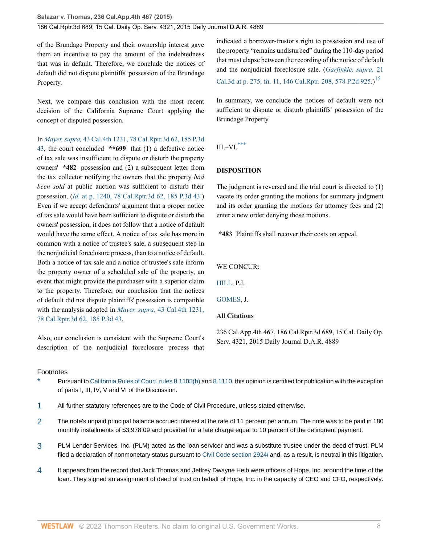of the Brundage Property and their ownership interest gave them an incentive to pay the amount of the indebtedness that was in default. Therefore, we conclude the notices of default did not dispute plaintiffs' possession of the Brundage Property.

Next, we compare this conclusion with the most recent decision of the California Supreme Court applying the concept of disputed possession.

In *Mayer, supra,* [43 Cal.4th 1231, 78 Cal.Rptr.3d 62, 185 P.3d](http://www.westlaw.com/Link/Document/FullText?findType=Y&serNum=2016314529&pubNum=0004645&originatingDoc=I0606f4f0f26711e495e6a5de55118874&refType=RP&originationContext=document&vr=3.0&rs=cblt1.0&transitionType=DocumentItem&contextData=(sc.History*oc.DocLink)) [43](http://www.westlaw.com/Link/Document/FullText?findType=Y&serNum=2016314529&pubNum=0004645&originatingDoc=I0606f4f0f26711e495e6a5de55118874&refType=RP&originationContext=document&vr=3.0&rs=cblt1.0&transitionType=DocumentItem&contextData=(sc.History*oc.DocLink)), the court concluded **\*\*699** that (1) a defective notice of tax sale was insufficient to dispute or disturb the property owners' **\*482** possession and (2) a subsequent letter from the tax collector notifying the owners that the property *had been sold* at public auction was sufficient to disturb their possession. (*Id.* [at p. 1240, 78 Cal.Rptr.3d 62, 185 P.3d 43](http://www.westlaw.com/Link/Document/FullText?findType=Y&serNum=2016314529&pubNum=0004645&originatingDoc=I0606f4f0f26711e495e6a5de55118874&refType=RP&originationContext=document&vr=3.0&rs=cblt1.0&transitionType=DocumentItem&contextData=(sc.History*oc.DocLink)).) Even if we accept defendants' argument that a proper notice of tax sale would have been sufficient to dispute or disturb the owners' possession, it does not follow that a notice of default would have the same effect. A notice of tax sale has more in common with a notice of trustee's sale, a subsequent step in the nonjudicial foreclosure process, than to a notice of default. Both a notice of tax sale and a notice of trustee's sale inform the property owner of a scheduled sale of the property, an event that might provide the purchaser with a superior claim to the property. Therefore, our conclusion that the notices of default did not dispute plaintiffs' possession is compatible with the analysis adopted in *Mayer, supra,* [43 Cal.4th 1231,](http://www.westlaw.com/Link/Document/FullText?findType=Y&serNum=2016314529&pubNum=0004645&originatingDoc=I0606f4f0f26711e495e6a5de55118874&refType=RP&originationContext=document&vr=3.0&rs=cblt1.0&transitionType=DocumentItem&contextData=(sc.History*oc.DocLink)) [78 Cal.Rptr.3d 62, 185 P.3d 43](http://www.westlaw.com/Link/Document/FullText?findType=Y&serNum=2016314529&pubNum=0004645&originatingDoc=I0606f4f0f26711e495e6a5de55118874&refType=RP&originationContext=document&vr=3.0&rs=cblt1.0&transitionType=DocumentItem&contextData=(sc.History*oc.DocLink)).

Also, our conclusion is consistent with the Supreme Court's description of the nonjudicial foreclosure process that

indicated a borrower-trustor's right to possession and use of the property "remains undisturbed" during the 110-day period that must elapse between the recording of the notice of default and the nonjudicial foreclosure sale. (*[Garfinkle, supra,](http://www.westlaw.com/Link/Document/FullText?findType=Y&serNum=1978109528&pubNum=0000661&originatingDoc=I0606f4f0f26711e495e6a5de55118874&refType=RP&originationContext=document&vr=3.0&rs=cblt1.0&transitionType=DocumentItem&contextData=(sc.History*oc.DocLink))* 21 [Cal.3d at p. 275, fn. 11, 146 Cal.Rptr. 208, 578 P.2d 925.](http://www.westlaw.com/Link/Document/FullText?findType=Y&serNum=1978109528&pubNum=0000661&originatingDoc=I0606f4f0f26711e495e6a5de55118874&refType=RP&originationContext=document&vr=3.0&rs=cblt1.0&transitionType=DocumentItem&contextData=(sc.History*oc.DocLink)))<sup>[15](#page-8-11)</sup>

<span id="page-7-5"></span>In summary, we conclude the notices of default were not sufficient to dispute or disturb plaintiffs' possession of the Brundage Property.

<span id="page-7-6"></span>III.–VI. $^\mathrm{***}$  $^\mathrm{***}$  $^\mathrm{***}$ 

# **DISPOSITION**

The judgment is reversed and the trial court is directed to (1) vacate its order granting the motions for summary judgment and its order granting the motions for attorney fees and (2) enter a new order denying those motions.

**\*483** Plaintiffs shall recover their costs on appeal.

WE CONCUR:

[HILL,](http://www.westlaw.com/Link/Document/FullText?findType=h&pubNum=176284&cite=0165234701&originatingDoc=I0606f4f0f26711e495e6a5de55118874&refType=RQ&originationContext=document&vr=3.0&rs=cblt1.0&transitionType=DocumentItem&contextData=(sc.History*oc.DocLink)) P.J.

[GOMES,](http://www.westlaw.com/Link/Document/FullText?findType=h&pubNum=176284&cite=0194089301&originatingDoc=I0606f4f0f26711e495e6a5de55118874&refType=RQ&originationContext=document&vr=3.0&rs=cblt1.0&transitionType=DocumentItem&contextData=(sc.History*oc.DocLink)) J.

### **All Citations**

236 Cal.App.4th 467, 186 Cal.Rptr.3d 689, 15 Cal. Daily Op. Serv. 4321, 2015 Daily Journal D.A.R. 4889

#### Footnotes

- <span id="page-7-0"></span>Pursuant to [California Rules of Court, rules 8.1105\(b\)](http://www.westlaw.com/Link/Document/FullText?findType=L&pubNum=1085232&cite=CASTAPPLLR8.1105&originatingDoc=I0606f4f0f26711e495e6a5de55118874&refType=LQ&originationContext=document&vr=3.0&rs=cblt1.0&transitionType=DocumentItem&contextData=(sc.History*oc.DocLink)) and [8.1110,](http://www.westlaw.com/Link/Document/FullText?findType=L&pubNum=1085232&cite=CASTAPPLLR8.1110&originatingDoc=I0606f4f0f26711e495e6a5de55118874&refType=LQ&originationContext=document&vr=3.0&rs=cblt1.0&transitionType=DocumentItem&contextData=(sc.History*oc.DocLink)) this opinion is certified for publication with the exception of parts I, III, IV, V and VI of the Discussion.
- <span id="page-7-1"></span>[1](#page-1-3) All further statutory references are to the Code of Civil Procedure, unless stated otherwise.
- <span id="page-7-2"></span>[2](#page-2-0) The note's unpaid principal balance accrued interest at the rate of 11 percent per annum. The note was to be paid in 180 monthly installments of \$3,978.09 and provided for a late charge equal to 10 percent of the delinquent payment.
- <span id="page-7-3"></span>[3](#page-2-1) PLM Lender Services, Inc. (PLM) acted as the loan servicer and was a substitute trustee under the deed of trust. PLM filed a declaration of nonmonetary status pursuant to [Civil Code section 2924](http://www.westlaw.com/Link/Document/FullText?findType=L&pubNum=1000200&cite=CACIS2924L&originatingDoc=I0606f4f0f26711e495e6a5de55118874&refType=LQ&originationContext=document&vr=3.0&rs=cblt1.0&transitionType=DocumentItem&contextData=(sc.History*oc.DocLink))/ and, as a result, is neutral in this litigation.
- <span id="page-7-4"></span>[4](#page-2-2) It appears from the record that Jack Thomas and Jeffrey Dwayne Heib were officers of Hope, Inc. around the time of the loan. They signed an assignment of deed of trust on behalf of Hope, Inc. in the capacity of CEO and CFO, respectively.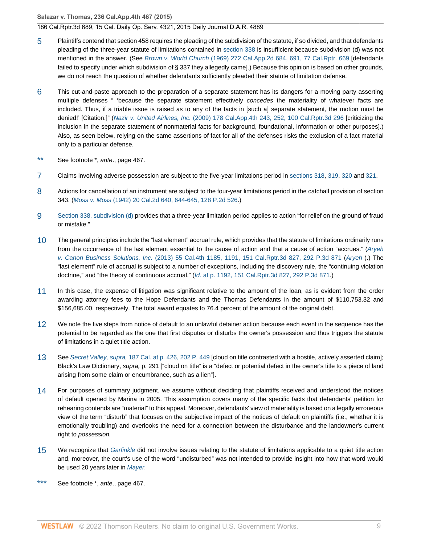**Salazar v. Thomas, 236 Cal.App.4th 467 (2015)**

186 Cal.Rptr.3d 689, 15 Cal. Daily Op. Serv. 4321, 2015 Daily Journal D.A.R. 4889

- <span id="page-8-0"></span>[5](#page-3-1) Plaintiffs contend that section 458 requires the pleading of the subdivision of the statute, if so divided, and that defendants pleading of the three-year statute of limitations contained in [section 338](http://www.westlaw.com/Link/Document/FullText?findType=L&pubNum=1000201&cite=CACPS338&originatingDoc=I0606f4f0f26711e495e6a5de55118874&refType=LQ&originationContext=document&vr=3.0&rs=cblt1.0&transitionType=DocumentItem&contextData=(sc.History*oc.DocLink)) is insufficient because subdivision (d) was not mentioned in the answer. (See Brown v. World Church [\(1969\) 272 Cal.App.2d 684, 691, 77 Cal.Rptr. 669](http://www.westlaw.com/Link/Document/FullText?findType=Y&serNum=1969112122&pubNum=0000227&originatingDoc=I0606f4f0f26711e495e6a5de55118874&refType=RP&originationContext=document&vr=3.0&rs=cblt1.0&transitionType=DocumentItem&contextData=(sc.History*oc.DocLink)) [defendants failed to specify under which subdivision of § 337 they allegedly came].) Because this opinion is based on other grounds, we do not reach the question of whether defendants sufficiently pleaded their statute of limitation defense.
- <span id="page-8-1"></span>[6](#page-3-2) This cut-and-paste approach to the preparation of a separate statement has its dangers for a moving party asserting multiple defenses " 'because the separate statement effectively concedes the materiality of whatever facts are included. Thus, if a triable issue is raised as to any of the facts in [such a] separate statement, the motion must be denied!' [Citation.]" (Nazir v. United Airlines, Inc. [\(2009\) 178 Cal.App.4th 243, 252, 100 Cal.Rptr.3d 296](http://www.westlaw.com/Link/Document/FullText?findType=Y&serNum=2020068102&pubNum=0007047&originatingDoc=I0606f4f0f26711e495e6a5de55118874&refType=RP&originationContext=document&vr=3.0&rs=cblt1.0&transitionType=DocumentItem&contextData=(sc.History*oc.DocLink)) [criticizing the inclusion in the separate statement of nonmaterial facts for background, foundational, information or other purposes].) Also, as seen below, relying on the same assertions of fact for all of the defenses risks the exclusion of a fact material only to a particular defense.
- <span id="page-8-2"></span>[\\*\\*](#page-4-4) See footnote \*, ante., page 467.
- <span id="page-8-3"></span>[7](#page-4-5) Claims involving adverse possession are subject to the five-year limitations period in [sections 318](http://www.westlaw.com/Link/Document/FullText?findType=L&pubNum=1000201&cite=CACPS318&originatingDoc=I0606f4f0f26711e495e6a5de55118874&refType=LQ&originationContext=document&vr=3.0&rs=cblt1.0&transitionType=DocumentItem&contextData=(sc.History*oc.DocLink)), [319](http://www.westlaw.com/Link/Document/FullText?findType=L&pubNum=1000201&cite=CACPS319&originatingDoc=I0606f4f0f26711e495e6a5de55118874&refType=LQ&originationContext=document&vr=3.0&rs=cblt1.0&transitionType=DocumentItem&contextData=(sc.History*oc.DocLink)), [320](http://www.westlaw.com/Link/Document/FullText?findType=L&pubNum=1000201&cite=CACPS320&originatingDoc=I0606f4f0f26711e495e6a5de55118874&refType=LQ&originationContext=document&vr=3.0&rs=cblt1.0&transitionType=DocumentItem&contextData=(sc.History*oc.DocLink)) and [321](http://www.westlaw.com/Link/Document/FullText?findType=L&pubNum=1000201&cite=CACPS321&originatingDoc=I0606f4f0f26711e495e6a5de55118874&refType=LQ&originationContext=document&vr=3.0&rs=cblt1.0&transitionType=DocumentItem&contextData=(sc.History*oc.DocLink)).
- <span id="page-8-4"></span>[8](#page-4-6) Actions for cancellation of an instrument are subject to the four-year limitations period in the catchall provision of section 343. (Moss v. Moss [\(1942\) 20 Cal.2d 640, 644-645, 128 P.2d 526.](http://www.westlaw.com/Link/Document/FullText?findType=Y&serNum=1942115656&pubNum=0000661&originatingDoc=I0606f4f0f26711e495e6a5de55118874&refType=RP&originationContext=document&vr=3.0&rs=cblt1.0&transitionType=DocumentItem&contextData=(sc.History*oc.DocLink)))
- <span id="page-8-5"></span>[9](#page-4-7) [Section 338, subdivision \(d\)](http://www.westlaw.com/Link/Document/FullText?findType=L&pubNum=1000201&cite=CACPS338&originatingDoc=I0606f4f0f26711e495e6a5de55118874&refType=SP&originationContext=document&vr=3.0&rs=cblt1.0&transitionType=DocumentItem&contextData=(sc.History*oc.DocLink)#co_pp_5ba1000067d06) provides that a three-year limitation period applies to action "for relief on the ground of fraud or mistake."
- <span id="page-8-6"></span>[10](#page-4-8) The general principles include the "last element" accrual rule, which provides that the statute of limitations ordinarily runs from the occurrence of the last element essential to the cause of action and that a cause of action "accrues." ([Aryeh](http://www.westlaw.com/Link/Document/FullText?findType=Y&serNum=2029715444&pubNum=0004645&originatingDoc=I0606f4f0f26711e495e6a5de55118874&refType=RP&originationContext=document&vr=3.0&rs=cblt1.0&transitionType=DocumentItem&contextData=(sc.History*oc.DocLink)) v. Canon Business Solutions, Inc. [\(2013\) 55 Cal.4th 1185, 1191, 151 Cal.Rptr.3d 827, 292 P.3d 871](http://www.westlaw.com/Link/Document/FullText?findType=Y&serNum=2029715444&pubNum=0004645&originatingDoc=I0606f4f0f26711e495e6a5de55118874&refType=RP&originationContext=document&vr=3.0&rs=cblt1.0&transitionType=DocumentItem&contextData=(sc.History*oc.DocLink)) ([Aryeh](http://www.westlaw.com/Link/Document/FullText?findType=Y&serNum=2029715444&pubNum=0004040&originatingDoc=I0606f4f0f26711e495e6a5de55118874&refType=RP&originationContext=document&vr=3.0&rs=cblt1.0&transitionType=DocumentItem&contextData=(sc.History*oc.DocLink)) ).) The "last element" rule of accrual is subject to a number of exceptions, including the discovery rule, the "continuing violation doctrine," and "the theory of continuous accrual." (Id. [at p. 1192, 151 Cal.Rptr.3d 827, 292 P.3d 871.](http://www.westlaw.com/Link/Document/FullText?findType=Y&serNum=2029715444&pubNum=0004645&originatingDoc=I0606f4f0f26711e495e6a5de55118874&refType=RP&originationContext=document&vr=3.0&rs=cblt1.0&transitionType=DocumentItem&contextData=(sc.History*oc.DocLink)))
- <span id="page-8-7"></span>[11](#page-5-2) In this case, the expense of litigation was significant relative to the amount of the loan, as is evident from the order awarding attorney fees to the Hope Defendants and the Thomas Defendants in the amount of \$110,753.32 and \$156,685.00, respectively. The total award equates to 76.4 percent of the amount of the original debt.
- <span id="page-8-8"></span>[12](#page-6-1) We note the five steps from notice of default to an unlawful detainer action because each event in the sequence has the potential to be regarded as the one that first disputes or disturbs the owner's possession and thus triggers the statute of limitations in a quiet title action.
- <span id="page-8-9"></span>[13](#page-6-2) See Secret Valley, supra, [187 Cal. at p. 426, 202 P. 449](http://www.westlaw.com/Link/Document/FullText?findType=Y&serNum=1922116103&pubNum=0000660&originatingDoc=I0606f4f0f26711e495e6a5de55118874&refType=RP&originationContext=document&vr=3.0&rs=cblt1.0&transitionType=DocumentItem&contextData=(sc.History*oc.DocLink)) [cloud on title contrasted with a hostile, actively asserted claim]; Black's Law Dictionary, supra, p. 291 ["cloud on title" is a "defect or potential defect in the owner's title to a piece of land arising from some claim or encumbrance, such as a lien"].
- <span id="page-8-10"></span>[14](#page-6-3) For purposes of summary judgment, we assume without deciding that plaintiffs received and understood the notices of default opened by Marina in 2005. This assumption covers many of the specific facts that defendants' petition for rehearing contends are "material" to this appeal. Moreover, defendants' view of materiality is based on a legally erroneous view of the term "disturb" that focuses on the subjective impact of the notices of default on plaintiffs (i.e., whether it is emotionally troubling) and overlooks the need for a connection between the disturbance and the landowner's current right to possession.
- <span id="page-8-11"></span>[15](#page-7-5) We recognize that [Garfinkle](http://www.westlaw.com/Link/Document/FullText?findType=Y&serNum=1978109528&pubNum=0000233&originatingDoc=I0606f4f0f26711e495e6a5de55118874&refType=RP&originationContext=document&vr=3.0&rs=cblt1.0&transitionType=DocumentItem&contextData=(sc.History*oc.DocLink)) did not involve issues relating to the statute of limitations applicable to a quiet title action and, moreover, the court's use of the word "undisturbed" was not intended to provide insight into how that word would be used 20 years later in [Mayer.](http://www.westlaw.com/Link/Document/FullText?findType=Y&serNum=2016314529&pubNum=0004040&originatingDoc=I0606f4f0f26711e495e6a5de55118874&refType=RP&originationContext=document&vr=3.0&rs=cblt1.0&transitionType=DocumentItem&contextData=(sc.History*oc.DocLink))
- <span id="page-8-12"></span>[\\*\\*\\*](#page-7-6) See footnote \*, ante., page 467.